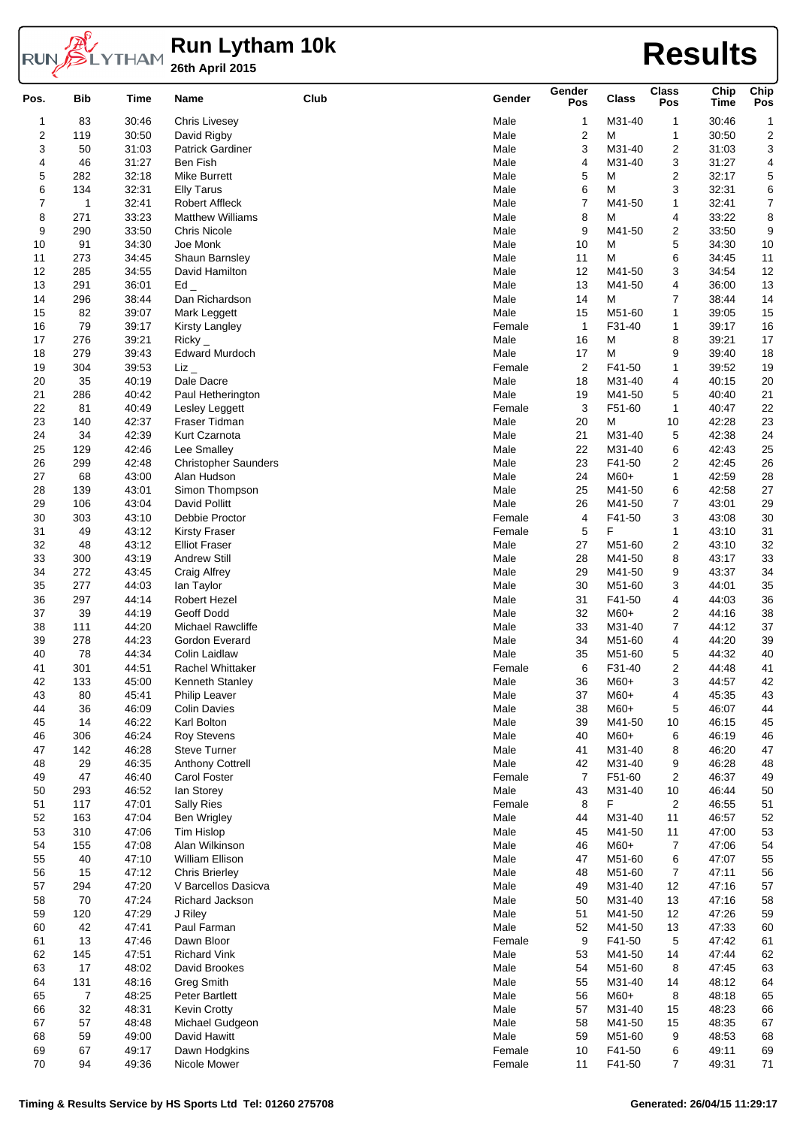# **Run Lytham 10k 26th April 2015 Results**

| Pos.                    | <b>Bib</b> | Time           | Name                                           | Club | Gender         | Gender<br>Pos  | <b>Class</b>     | <b>Class</b><br>Pos     | Chip<br><b>Time</b> | Chip<br>Pos  |
|-------------------------|------------|----------------|------------------------------------------------|------|----------------|----------------|------------------|-------------------------|---------------------|--------------|
| 1                       | 83         | 30:46          | <b>Chris Livesey</b>                           |      | Male           | 1              | M31-40           | 1                       | 30:46               | $\mathbf{1}$ |
| $\overline{\mathbf{c}}$ | 119        | 30:50          | David Rigby                                    |      | Male           | $\overline{c}$ | М                | 1                       | 30:50               | 2            |
| 3                       | 50         | 31:03          | <b>Patrick Gardiner</b>                        |      | Male           | 3              | M31-40           | 2                       | 31:03               | 3            |
| 4                       | 46         | 31:27          | Ben Fish                                       |      | Male           | 4              | M31-40           | 3                       | 31:27               | 4            |
| 5                       | 282        | 32:18          | <b>Mike Burrett</b>                            |      | Male           | 5              | М                | 2                       | 32:17               | 5            |
| 6                       | 134        | 32:31          | <b>Elly Tarus</b>                              |      | Male           | 6              | M                | 3                       | 32:31               | 6            |
| $\boldsymbol{7}$        | 1          | 32:41          | <b>Robert Affleck</b>                          |      | Male           | 7              | M41-50           | $\mathbf{1}$            | 32:41               | 7            |
| 8<br>9                  | 271<br>290 | 33:23<br>33:50 | <b>Matthew Williams</b><br><b>Chris Nicole</b> |      | Male<br>Male   | 8<br>9         | М<br>M41-50      | 4                       | 33:22<br>33:50      | 8<br>9       |
| 10                      | 91         | 34:30          | Joe Monk                                       |      | Male           | 10             | М                | 2<br>5                  | 34:30               | $10$         |
| 11                      | 273        | 34:45          | Shaun Barnsley                                 |      | Male           | 11             | М                | 6                       | 34:45               | 11           |
| 12                      | 285        | 34:55          | David Hamilton                                 |      | Male           | 12             | M41-50           | 3                       | 34:54               | 12           |
| 13                      | 291        | 36:01          | Ed                                             |      | Male           | 13             | M41-50           | 4                       | 36:00               | 13           |
| 14                      | 296        | 38:44          | Dan Richardson                                 |      | Male           | 14             | M                | $\boldsymbol{7}$        | 38:44               | 14           |
| 15                      | 82         | 39:07          | Mark Leggett                                   |      | Male           | 15             | M51-60           | 1                       | 39:05               | 15           |
| 16                      | 79         | 39:17          | <b>Kirsty Langley</b>                          |      | Female         | $\mathbf{1}$   | F31-40           | 1                       | 39:17               | 16           |
| 17                      | 276        | 39:21          | Ricky                                          |      | Male           | 16             | М                | 8                       | 39:21               | $17$         |
| 18                      | 279        | 39:43          | <b>Edward Murdoch</b>                          |      | Male           | 17             | М                | 9                       | 39:40               | 18           |
| 19                      | 304        | 39:53          | $\operatorname{Liz}$                           |      | Female         | $\overline{c}$ | F41-50           | 1                       | 39:52               | 19           |
| 20                      | 35         | 40:19          | Dale Dacre                                     |      | Male           | 18             | M31-40           | 4                       | 40:15               | 20           |
| 21                      | 286        | 40:42          | Paul Hetherington                              |      | Male           | 19             | M41-50           | 5                       | 40:40               | 21           |
| 22                      | 81         | 40:49          | Lesley Leggett                                 |      | Female         | 3              | F51-60           | 1                       | 40:47               | 22           |
| 23                      | 140        | 42:37          | Fraser Tidman                                  |      | Male           | 20             | М                | 10                      | 42:28               | 23           |
| 24                      | 34         | 42:39          | Kurt Czarnota                                  |      | Male           | 21             | M31-40           | 5                       | 42:38               | 24           |
| 25                      | 129        | 42:46          | Lee Smalley                                    |      | Male           | 22             | M31-40           | 6                       | 42:43               | 25           |
| 26                      | 299        | 42:48          | <b>Christopher Saunders</b>                    |      | Male           | 23             | F41-50           | 2                       | 42:45               | 26           |
| 27                      | 68         | 43:00          | Alan Hudson                                    |      | Male           | 24             | M60+             | $\mathbf{1}$            | 42:59               | 28           |
| 28                      | 139        | 43:01          | Simon Thompson                                 |      | Male           | 25             | M41-50           | 6                       | 42:58               | 27           |
| 29                      | 106        | 43:04          | David Pollitt                                  |      | Male           | 26             | M41-50           | 7                       | 43:01               | 29           |
| 30                      | 303        | 43:10          | Debbie Proctor                                 |      | Female         | 4              | F41-50           | 3                       | 43:08               | $30\,$       |
| 31                      | 49         | 43:12          | <b>Kirsty Fraser</b>                           |      | Female         | 5              | F                | $\mathbf{1}$            | 43:10               | 31           |
| 32                      | 48         | 43:12          | <b>Elliot Fraser</b>                           |      | Male           | 27             | M51-60           | 2                       | 43:10               | 32           |
| 33                      | 300        | 43:19          | <b>Andrew Still</b>                            |      | Male           | 28<br>29       | M41-50           | 8                       | 43:17               | 33           |
| 34<br>35                | 272<br>277 | 43:45<br>44:03 | Craig Alfrey                                   |      | Male<br>Male   | 30             | M41-50<br>M51-60 | 9<br>3                  | 43:37<br>44:01      | 34           |
| 36                      | 297        | 44:14          | lan Taylor<br><b>Robert Hezel</b>              |      | Male           | 31             | F41-50           | 4                       | 44:03               | 35<br>36     |
| 37                      | 39         | 44:19          | Geoff Dodd                                     |      | Male           | 32             | M60+             | 2                       | 44:16               | 38           |
| 38                      | 111        | 44:20          | <b>Michael Rawcliffe</b>                       |      | Male           | 33             | M31-40           | 7                       | 44:12               | 37           |
| 39                      | 278        | 44:23          | Gordon Everard                                 |      | Male           | 34             | M51-60           | 4                       | 44:20               | 39           |
| 40                      | 78         | 44:34          | Colin Laidlaw                                  |      | Male           | 35             | M51-60           | 5                       | 44:32               | 40           |
| 41                      | 301        | 44:51          | <b>Rachel Whittaker</b>                        |      | Female         | 6              | F31-40           | 2                       | 44:48               | 41           |
| 42                      | 133        | 45:00          | Kenneth Stanley                                |      | Male           | 36             | M60+             | 3                       | 44:57               | 42           |
| 43                      | 80         | 45:41          | <b>Philip Leaver</b>                           |      | Male           | 37             | M60+             | 4                       | 45:35               | 43           |
| 44                      | 36         | 46:09          | <b>Colin Davies</b>                            |      | Male           | 38             | M60+             | 5                       | 46:07               | 44           |
| 45                      | 14         | 46:22          | Karl Bolton                                    |      | Male           | 39             | M41-50           | 10                      | 46:15               | 45           |
| 46                      | 306        | 46:24          | <b>Roy Stevens</b>                             |      | Male           | 40             | M60+             | 6                       | 46:19               | 46           |
| 47                      | 142        | 46:28          | <b>Steve Turner</b>                            |      | Male           | 41             | M31-40           | 8                       | 46:20               | 47           |
| 48                      | 29         | 46:35          | <b>Anthony Cottrell</b>                        |      | Male           | 42             | M31-40           | 9                       | 46:28               | 48           |
| 49                      | 47         | 46:40          | Carol Foster                                   |      | Female         | $\overline{7}$ | F51-60           | $\overline{\mathbf{c}}$ | 46:37               | 49           |
| 50                      | 293        | 46:52          | lan Storey                                     |      | Male           | 43             | M31-40           | 10                      | 46:44               | 50           |
| 51                      | 117        | 47:01          | <b>Sally Ries</b>                              |      | Female         | 8              | F                | $\overline{2}$          | 46:55               | 51           |
| 52                      | 163        | 47:04          | <b>Ben Wrigley</b>                             |      | Male           | 44             | M31-40           | 11                      | 46:57               | 52           |
| 53                      | 310        | 47:06          | Tim Hislop                                     |      | Male           | 45             | M41-50           | 11                      | 47:00               | 53           |
| 54                      | 155        | 47:08          | Alan Wilkinson                                 |      | Male           | 46             | M60+             | 7                       | 47:06               | 54           |
| 55                      | 40         | 47:10          | William Ellison                                |      | Male           | 47             | M51-60           | 6                       | 47:07               | 55           |
| 56                      | 15         | 47:12          | Chris Brierley                                 |      | Male           | 48             | M51-60           | 7                       | 47:11               | 56           |
| 57                      | 294        | 47:20          | V Barcellos Dasicva                            |      | Male           | 49             | M31-40           | 12                      | 47:16               | 57           |
| 58                      | 70         | 47:24          | Richard Jackson                                |      | Male           | 50             | M31-40           | 13                      | 47:16               | 58           |
| 59                      | 120        | 47:29          | J Riley                                        |      | Male           | 51             | M41-50           | 12                      | 47:26               | 59           |
| 60                      | 42         | 47:41          | Paul Farman                                    |      | Male           | 52             | M41-50           | 13                      | 47:33               | 60           |
| 61                      | 13         | 47:46          | Dawn Bloor                                     |      | Female         | 9              | F41-50           | 5                       | 47:42               | 61           |
| 62                      | 145        | 47:51          | <b>Richard Vink</b>                            |      | Male           | 53             | M41-50           | 14                      | 47:44               | 62           |
| 63                      | 17         | 48:02          | David Brookes                                  |      | Male           | 54             | M51-60           | 8                       | 47:45               | 63           |
| 64                      | 131        | 48:16          | <b>Greg Smith</b>                              |      | Male           | 55             | M31-40           | 14                      | 48:12               | 64           |
| 65                      | 7          | 48:25          | <b>Peter Bartlett</b>                          |      | Male           | 56             | M60+             | 8                       | 48:18               | 65           |
| 66                      | 32         | 48:31          | <b>Kevin Crotty</b>                            |      | Male           | 57             | M31-40           | 15                      | 48:23               | 66           |
| 67                      | 57         | 48:48          | Michael Gudgeon                                |      | Male           | 58             | M41-50           | 15                      | 48:35               | 67           |
| 68<br>69                | 59<br>67   | 49:00<br>49:17 | David Hawitt<br>Dawn Hodgkins                  |      | Male<br>Female | 59<br>10       | M51-60<br>F41-50 | 9<br>6                  | 48:53<br>49:11      | 68<br>69     |
| 70                      | 94         | 49:36          | Nicole Mower                                   |      | Female         | 11             | F41-50           | 7                       | 49:31               | $71\,$       |
|                         |            |                |                                                |      |                |                |                  |                         |                     |              |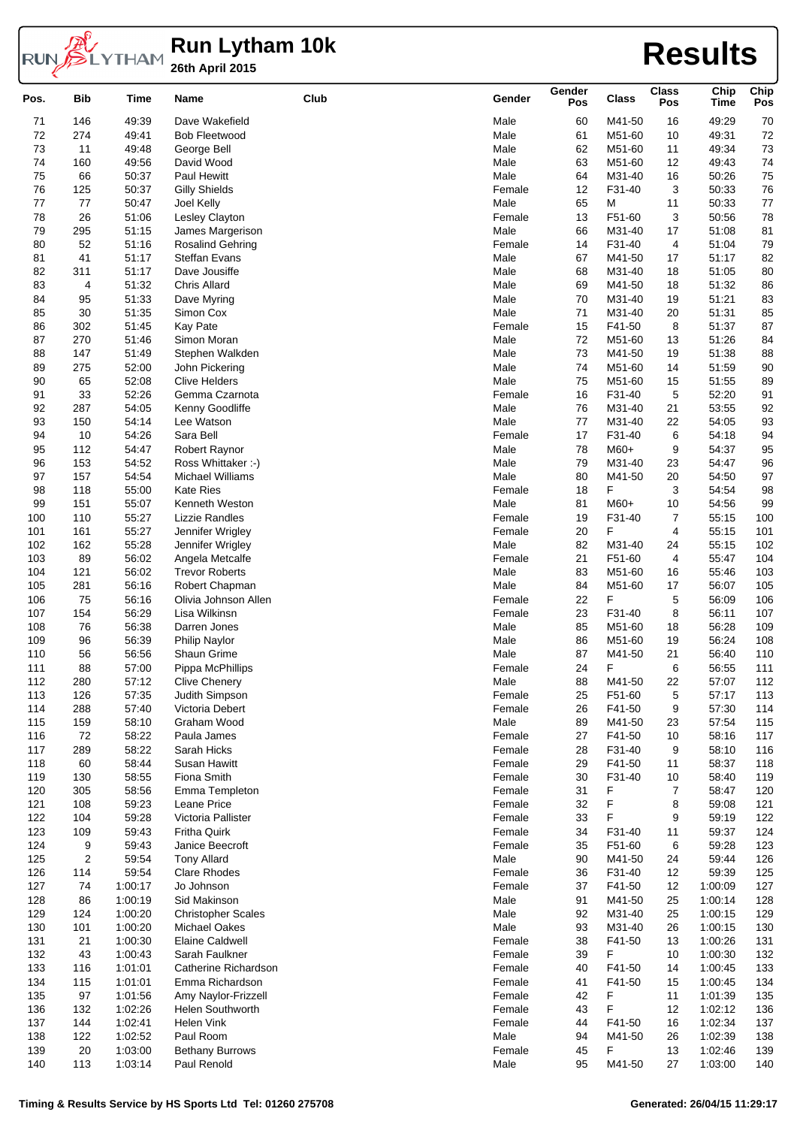

## **Run Lytham 10k 26th April 2015 Results**

| Pos. | <b>Bib</b>     | Time    | Name                      | Club | Gender | Gender<br>Pos | <b>Class</b> | <b>Class</b><br>Pos     | Chip<br><b>Time</b> | Chip<br>Pos |
|------|----------------|---------|---------------------------|------|--------|---------------|--------------|-------------------------|---------------------|-------------|
| 71   | 146            | 49:39   | Dave Wakefield            |      | Male   | 60            | M41-50       | 16                      | 49:29               | 70          |
| 72   | 274            | 49:41   | <b>Bob Fleetwood</b>      |      | Male   | 61            | M51-60       | 10                      | 49:31               | 72          |
| 73   | 11             | 49:48   | George Bell               |      | Male   | 62            | M51-60       | 11                      | 49:34               | 73          |
| 74   | 160            | 49:56   | David Wood                |      | Male   | 63            | M51-60       | 12                      | 49:43               | 74          |
| 75   | 66             | 50:37   | Paul Hewitt               |      | Male   | 64            | M31-40       | 16                      | 50:26               | 75          |
| 76   | 125            | 50:37   | <b>Gilly Shields</b>      |      | Female | 12            | F31-40       | 3                       | 50:33               | 76          |
| 77   | 77             | 50:47   | Joel Kelly                |      | Male   | 65            | M            | 11                      | 50:33               | 77          |
| 78   | 26             | 51:06   | Lesley Clayton            |      | Female | 13            | F51-60       | 3                       | 50:56               | 78          |
| 79   | 295            | 51:15   | James Margerison          |      | Male   | 66            | M31-40       | 17                      | 51:08               | 81          |
| 80   | 52             | 51:16   | <b>Rosalind Gehring</b>   |      | Female | 14            | F31-40       | 4                       | 51:04               | 79          |
| 81   | 41             | 51:17   | <b>Steffan Evans</b>      |      | Male   | 67            | M41-50       |                         | 51:17               |             |
|      |                |         |                           |      |        |               |              | 17                      |                     | 82          |
| 82   | 311            | 51:17   | Dave Jousiffe             |      | Male   | 68            | M31-40       | 18                      | 51:05               | 80          |
| 83   | 4              | 51:32   | <b>Chris Allard</b>       |      | Male   | 69            | M41-50       | 18                      | 51:32               | 86          |
| 84   | 95             | 51:33   | Dave Myring               |      | Male   | 70            | M31-40       | 19                      | 51:21               | 83          |
| 85   | 30             | 51:35   | Simon Cox                 |      | Male   | 71            | M31-40       | 20                      | 51:31               | 85          |
| 86   | 302            | 51:45   | Kay Pate                  |      | Female | 15            | F41-50       | 8                       | 51:37               | 87          |
| 87   | 270            | 51:46   | Simon Moran               |      | Male   | 72            | M51-60       | 13                      | 51:26               | 84          |
| 88   | 147            | 51:49   | Stephen Walkden           |      | Male   | 73            | M41-50       | 19                      | 51:38               | 88          |
| 89   | 275            | 52:00   | John Pickering            |      | Male   | 74            | M51-60       | 14                      | 51:59               | 90          |
| 90   | 65             | 52:08   | <b>Clive Helders</b>      |      | Male   | 75            | M51-60       | 15                      | 51:55               | 89          |
| 91   | 33             | 52:26   | Gemma Czarnota            |      | Female | 16            | F31-40       | 5                       | 52:20               | 91          |
| 92   | 287            | 54:05   | Kenny Goodliffe           |      | Male   | 76            | M31-40       | 21                      | 53:55               | 92          |
| 93   | 150            | 54:14   | Lee Watson                |      | Male   | 77            | M31-40       | 22                      | 54:05               | 93          |
| 94   | 10             | 54:26   | Sara Bell                 |      | Female | 17            | F31-40       | 6                       | 54:18               | 94          |
| 95   | 112            | 54:47   | Robert Raynor             |      | Male   | 78            | M60+         | 9                       | 54:37               | 95          |
| 96   | 153            | 54:52   | Ross Whittaker :-)        |      | Male   | 79            | M31-40       | 23                      | 54:47               | 96          |
| 97   | 157            | 54:54   | <b>Michael Williams</b>   |      | Male   | 80            | M41-50       | 20                      | 54:50               | 97          |
| 98   | 118            | 55:00   | <b>Kate Ries</b>          |      | Female | 18            | F            | 3                       | 54:54               | 98          |
| 99   | 151            | 55:07   | Kenneth Weston            |      | Male   | 81            | $M60+$       | 10                      | 54:56               | 99          |
| 100  | 110            | 55:27   | Lizzie Randles            |      | Female | 19            | F31-40       | 7                       | 55:15               | 100         |
| 101  | 161            | 55:27   | Jennifer Wrigley          |      | Female | 20            | F            | 4                       | 55:15               | 101         |
| 102  | 162            | 55:28   | Jennifer Wrigley          |      | Male   | 82            | M31-40       | 24                      | 55:15               | 102         |
| 103  | 89             | 56:02   | Angela Metcalfe           |      | Female | 21            | F51-60       | $\overline{\mathbf{4}}$ | 55:47               | 104         |
| 104  | 121            | 56:02   | <b>Trevor Roberts</b>     |      | Male   | 83            | M51-60       | 16                      | 55:46               | 103         |
| 105  | 281            | 56:16   | Robert Chapman            |      | Male   | 84            | M51-60       | 17                      | 56:07               | 105         |
| 106  | 75             | 56:16   | Olivia Johnson Allen      |      | Female | 22            | F            | 5                       | 56:09               | 106         |
|      |                |         |                           |      |        |               |              | 8                       |                     |             |
| 107  | 154            | 56:29   | Lisa Wilkinsn             |      | Female | 23            | F31-40       |                         | 56:11               | 107         |
| 108  | 76             | 56:38   | Darren Jones              |      | Male   | 85            | M51-60       | 18                      | 56:28               | 109         |
| 109  | 96             | 56:39   | Philip Naylor             |      | Male   | 86            | M51-60       | 19                      | 56:24               | 108         |
| 110  | 56             | 56:56   | Shaun Grime               |      | Male   | 87            | M41-50       | 21                      | 56:40               | 110         |
| 111  | 88             | 57:00   | Pippa McPhillips          |      | Female | 24            | F            | 6                       | 56:55               | 111         |
| 112  | 280            | 57:12   | <b>Clive Chenery</b>      |      | Male   | 88            | M41-50       | 22                      | 57:07               | 112         |
| 113  | 126            | 57:35   | Judith Simpson            |      | Female | 25            | F51-60       | 5                       | 57:17               | 113         |
| 114  | 288            | 57:40   | Victoria Debert           |      | Female | 26            | F41-50       | 9                       | 57:30               | 114         |
| 115  | 159            | 58:10   | Graham Wood               |      | Male   | 89            | M41-50       | 23                      | 57:54               | 115         |
| 116  | 72             | 58:22   | Paula James               |      | Female | 27            | F41-50       | 10                      | 58:16               | 117         |
| 117  | 289            | 58:22   | Sarah Hicks               |      | Female | 28            | F31-40       | 9                       | 58:10               | 116         |
| 118  | 60             | 58:44   | Susan Hawitt              |      | Female | 29            | F41-50       | 11                      | 58:37               | 118         |
| 119  | 130            | 58:55   | Fiona Smith               |      | Female | 30            | F31-40       | 10                      | 58:40               | 119         |
| 120  | 305            | 58:56   | Emma Templeton            |      | Female | 31            | F            | $\overline{7}$          | 58:47               | 120         |
| 121  | 108            | 59:23   | Leane Price               |      | Female | 32            | F            | 8                       | 59:08               | 121         |
| 122  | 104            | 59:28   | Victoria Pallister        |      | Female | 33            | F            | 9                       | 59:19               | 122         |
| 123  | 109            | 59:43   | Fritha Quirk              |      | Female | 34            | F31-40       | 11                      | 59:37               | 124         |
| 124  | 9              | 59:43   | Janice Beecroft           |      | Female | 35            | F51-60       | 6                       | 59:28               | 123         |
| 125  | $\overline{c}$ | 59:54   | <b>Tony Allard</b>        |      | Male   | 90            | M41-50       | 24                      | 59:44               | 126         |
| 126  | 114            | 59:54   | <b>Clare Rhodes</b>       |      | Female | 36            | F31-40       | 12                      | 59:39               | 125         |
| 127  | 74             | 1:00:17 | Jo Johnson                |      | Female | 37            | F41-50       | 12                      | 1:00:09             | 127         |
| 128  | 86             | 1:00:19 | Sid Makinson              |      | Male   | 91            | M41-50       | 25                      | 1:00:14             | 128         |
| 129  | 124            | 1:00:20 | <b>Christopher Scales</b> |      | Male   | 92            | M31-40       | 25                      | 1:00:15             | 129         |
| 130  | 101            | 1:00:20 | <b>Michael Oakes</b>      |      | Male   | 93            | M31-40       | 26                      | 1:00:15             | 130         |
| 131  | 21             | 1:00:30 | <b>Elaine Caldwell</b>    |      | Female | 38            | F41-50       | 13                      | 1:00:26             | 131         |
| 132  | 43             | 1:00:43 | Sarah Faulkner            |      | Female | 39            | F            | 10                      | 1:00:30             | 132         |
|      |                |         |                           |      |        |               |              |                         |                     |             |
| 133  | 116            | 1:01:01 | Catherine Richardson      |      | Female | 40            | F41-50       | 14                      | 1:00:45             | 133         |
| 134  | 115            | 1:01:01 | Emma Richardson           |      | Female | 41            | F41-50       | 15                      | 1:00:45             | 134         |
| 135  | 97             | 1:01:56 | Amy Naylor-Frizzell       |      | Female | 42            | F            | 11                      | 1:01:39             | 135         |
| 136  | 132            | 1:02:26 | Helen Southworth          |      | Female | 43            | F            | 12                      | 1:02:12             | 136         |
| 137  | 144            | 1:02:41 | Helen Vink                |      | Female | 44            | F41-50       | 16                      | 1:02:34             | 137         |
| 138  | 122            | 1:02:52 | Paul Room                 |      | Male   | 94            | M41-50       | 26                      | 1:02:39             | 138         |
| 139  | 20             | 1:03:00 | <b>Bethany Burrows</b>    |      | Female | 45            | F            | 13                      | 1:02:46             | 139         |
| 140  | 113            | 1:03:14 | Paul Renold               |      | Male   | 95            | M41-50       | 27                      | 1:03:00             | 140         |